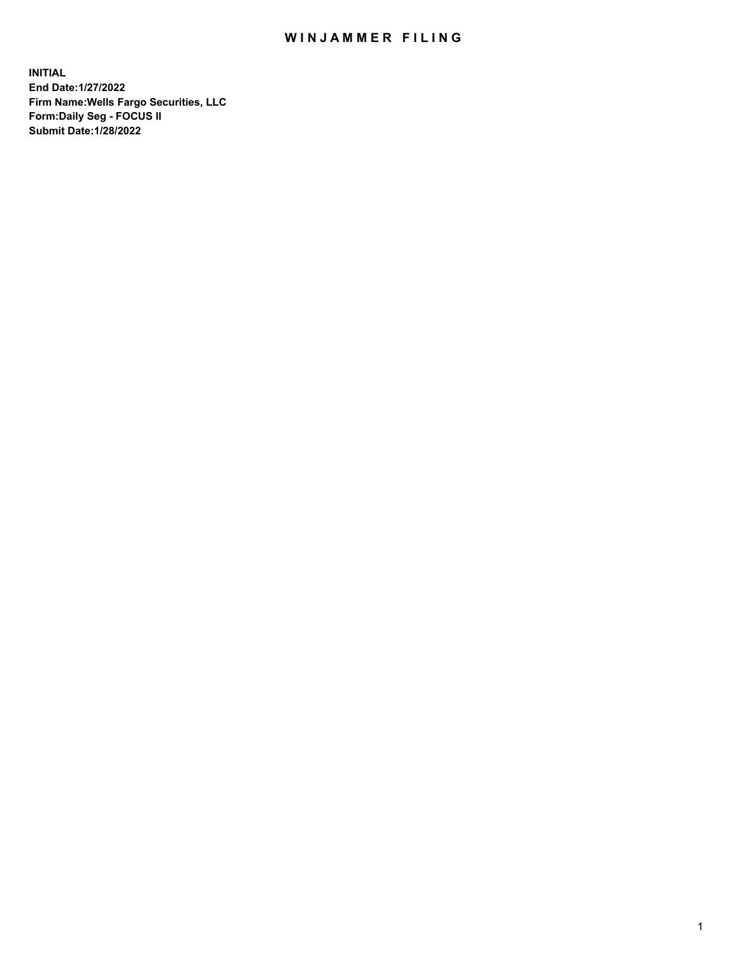## WIN JAMMER FILING

**INITIAL End Date:1/27/2022 Firm Name:Wells Fargo Securities, LLC Form:Daily Seg - FOCUS II Submit Date:1/28/2022**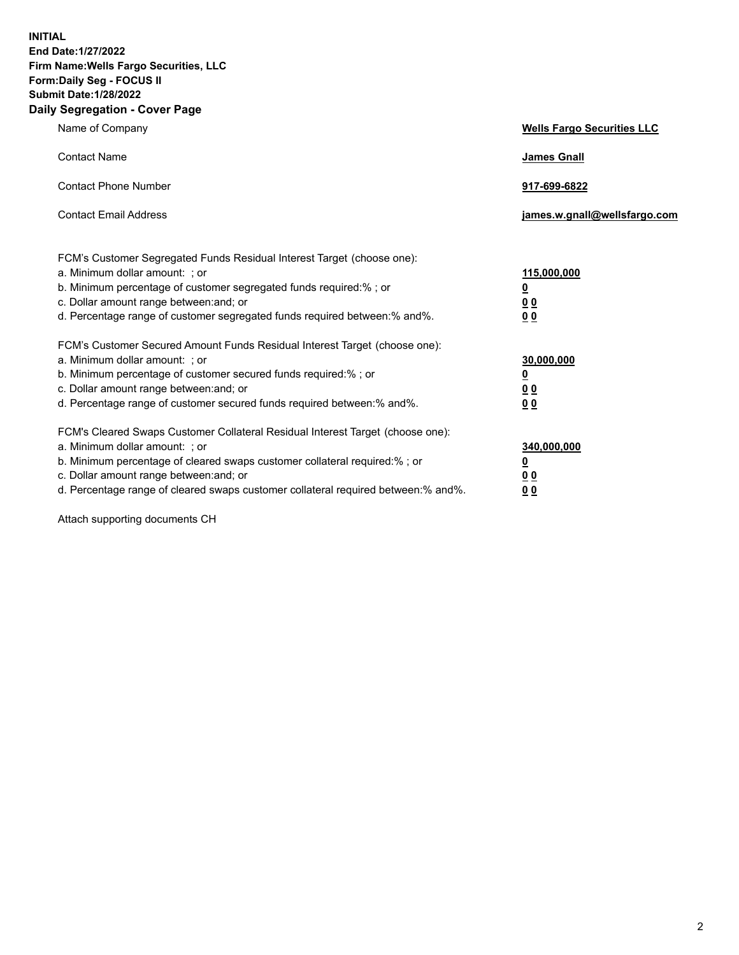**INITIAL End Date:1/27/2022 Firm Name:Wells Fargo Securities, LLC Form:Daily Seg - FOCUS II Submit Date:1/28/2022 Daily Segregation - Cover Page**

| Name of Company                                                                                                                                                                                                                                                                                                                | <b>Wells Fargo Securities LLC</b>                          |
|--------------------------------------------------------------------------------------------------------------------------------------------------------------------------------------------------------------------------------------------------------------------------------------------------------------------------------|------------------------------------------------------------|
| <b>Contact Name</b>                                                                                                                                                                                                                                                                                                            | <b>James Gnall</b>                                         |
| <b>Contact Phone Number</b>                                                                                                                                                                                                                                                                                                    | 917-699-6822                                               |
| <b>Contact Email Address</b>                                                                                                                                                                                                                                                                                                   | james.w.gnall@wellsfargo.com                               |
| FCM's Customer Segregated Funds Residual Interest Target (choose one):<br>a. Minimum dollar amount: ; or<br>b. Minimum percentage of customer segregated funds required:% ; or<br>c. Dollar amount range between: and; or<br>d. Percentage range of customer segregated funds required between:% and%.                         | 115,000,000<br><u>0</u><br>0 <sub>0</sub><br>00            |
| FCM's Customer Secured Amount Funds Residual Interest Target (choose one):<br>a. Minimum dollar amount: ; or<br>b. Minimum percentage of customer secured funds required:%; or<br>c. Dollar amount range between: and; or<br>d. Percentage range of customer secured funds required between:% and%.                            | 30,000,000<br><u>0</u><br>0 <sub>0</sub><br>0 <sub>0</sub> |
| FCM's Cleared Swaps Customer Collateral Residual Interest Target (choose one):<br>a. Minimum dollar amount: ; or<br>b. Minimum percentage of cleared swaps customer collateral required:% ; or<br>c. Dollar amount range between: and; or<br>d. Percentage range of cleared swaps customer collateral required between:% and%. | 340,000,000<br><u>0</u><br>00<br>00                        |

Attach supporting documents CH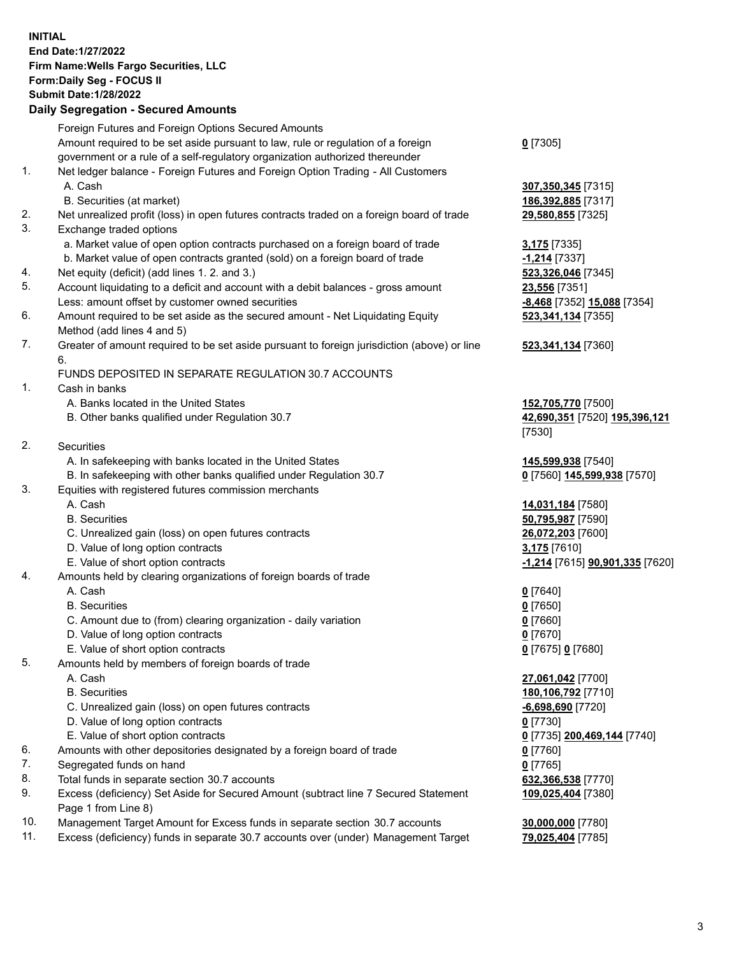**INITIAL End Date:1/27/2022 Firm Name:Wells Fargo Securities, LLC Form:Daily Seg - FOCUS II Submit Date:1/28/2022 Daily Segregation - Secured Amounts**

|     | Foreign Futures and Foreign Options Secured Amounts                                         |                                               |
|-----|---------------------------------------------------------------------------------------------|-----------------------------------------------|
|     | Amount required to be set aside pursuant to law, rule or regulation of a foreign            | $0$ [7305]                                    |
|     | government or a rule of a self-regulatory organization authorized thereunder                |                                               |
| 1.  | Net ledger balance - Foreign Futures and Foreign Option Trading - All Customers             |                                               |
|     | A. Cash                                                                                     | 307,350,345 [7315]                            |
|     | B. Securities (at market)                                                                   | 186,392,885 [7317]                            |
| 2.  | Net unrealized profit (loss) in open futures contracts traded on a foreign board of trade   | 29,580,855 [7325]                             |
| 3.  | Exchange traded options                                                                     |                                               |
|     | a. Market value of open option contracts purchased on a foreign board of trade              | 3,175 [7335]                                  |
|     | b. Market value of open contracts granted (sold) on a foreign board of trade                | $-1,214$ [7337]                               |
| 4.  | Net equity (deficit) (add lines 1. 2. and 3.)                                               | 523,326,046 [7345]                            |
| 5.  | Account liquidating to a deficit and account with a debit balances - gross amount           | 23,556 [7351]                                 |
|     | Less: amount offset by customer owned securities                                            | -8,468 [7352] 15,088 [7354]                   |
| 6.  | Amount required to be set aside as the secured amount - Net Liquidating Equity              | 523,341,134 [7355]                            |
|     | Method (add lines 4 and 5)                                                                  |                                               |
| 7.  | Greater of amount required to be set aside pursuant to foreign jurisdiction (above) or line | 523,341,134 [7360]                            |
|     | 6.                                                                                          |                                               |
|     | FUNDS DEPOSITED IN SEPARATE REGULATION 30.7 ACCOUNTS                                        |                                               |
| 1.  | Cash in banks                                                                               |                                               |
|     | A. Banks located in the United States                                                       | 152,705,770 [7500]                            |
|     | B. Other banks qualified under Regulation 30.7                                              | 42,690,351 [7520] 195,396,121                 |
|     |                                                                                             | [7530]                                        |
| 2.  | Securities                                                                                  |                                               |
|     | A. In safekeeping with banks located in the United States                                   | 145,599,938 [7540]                            |
|     | B. In safekeeping with other banks qualified under Regulation 30.7                          | 0 [7560] 145,599,938 [7570]                   |
| 3.  | Equities with registered futures commission merchants                                       |                                               |
|     | A. Cash                                                                                     | 14,031,184 [7580]                             |
|     | <b>B.</b> Securities                                                                        | 50,795,987 [7590]                             |
|     | C. Unrealized gain (loss) on open futures contracts                                         | 26,072,203 [7600]                             |
|     | D. Value of long option contracts                                                           | 3,175 [7610]                                  |
|     | E. Value of short option contracts                                                          | <u>-1,214</u> [7615] <b>90,901,335</b> [7620] |
| 4.  | Amounts held by clearing organizations of foreign boards of trade                           |                                               |
|     | A. Cash                                                                                     | $0$ [7640]                                    |
|     | <b>B.</b> Securities                                                                        | $0$ [7650]                                    |
|     | C. Amount due to (from) clearing organization - daily variation                             | $0$ [7660]                                    |
|     | D. Value of long option contracts                                                           | $0$ [7670]                                    |
|     | E. Value of short option contracts                                                          | 0 [7675] 0 [7680]                             |
| 5.  | Amounts held by members of foreign boards of trade                                          |                                               |
|     | A. Cash                                                                                     | 27,061,042 [7700]                             |
|     | <b>B.</b> Securities                                                                        | 180,106,792 [7710]                            |
|     | C. Unrealized gain (loss) on open futures contracts                                         | $-6,698,690$ [7720]                           |
|     | D. Value of long option contracts                                                           | $0$ [7730]                                    |
|     | E. Value of short option contracts                                                          | 0 [7735] 200,469,144 [7740]                   |
| 6.  | Amounts with other depositories designated by a foreign board of trade                      | 0 [7760]                                      |
| 7.  | Segregated funds on hand                                                                    | $0$ [7765]                                    |
| 8.  | Total funds in separate section 30.7 accounts                                               | 632,366,538 [7770]                            |
| 9.  | Excess (deficiency) Set Aside for Secured Amount (subtract line 7 Secured Statement         | 109,025,404 [7380]                            |
|     | Page 1 from Line 8)                                                                         |                                               |
| 10. | Management Target Amount for Excess funds in separate section 30.7 accounts                 | 30,000,000 [7780]                             |

11. Excess (deficiency) funds in separate 30.7 accounts over (under) Management Target **79,025,404** [7785]

3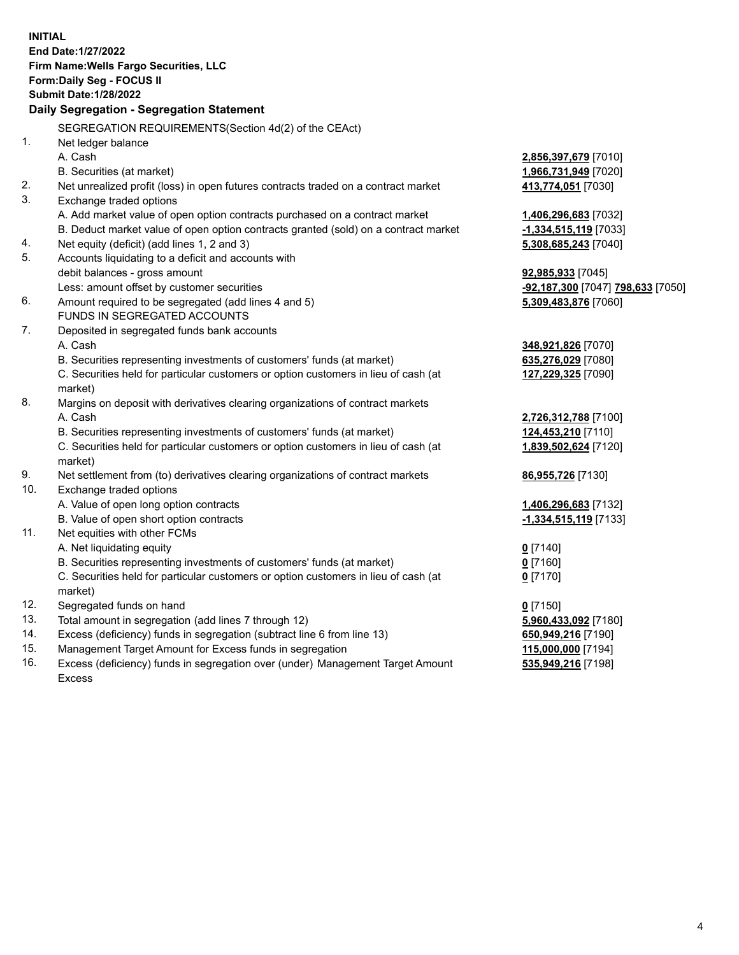**INITIAL End Date:1/27/2022 Firm Name:Wells Fargo Securities, LLC Form:Daily Seg - FOCUS II Submit Date:1/28/2022 Daily Segregation - Segregation Statement** SEGREGATION REQUIREMENTS(Section 4d(2) of the CEAct) 1. Net ledger balance A. Cash **2,856,397,679** [7010] B. Securities (at market) **1,966,731,949** [7020] 2. Net unrealized profit (loss) in open futures contracts traded on a contract market **413,774,051** [7030] 3. Exchange traded options A. Add market value of open option contracts purchased on a contract market **1,406,296,683** [7032] B. Deduct market value of open option contracts granted (sold) on a contract market **-1,334,515,119** [7033] 4. Net equity (deficit) (add lines 1, 2 and 3) **5,308,685,243** [7040] 5. Accounts liquidating to a deficit and accounts with debit balances - gross amount **92,985,933** [7045] Less: amount offset by customer securities **-92,187,300** [7047] **798,633** [7050] 6. Amount required to be segregated (add lines 4 and 5) **5,309,483,876** [7060] FUNDS IN SEGREGATED ACCOUNTS 7. Deposited in segregated funds bank accounts A. Cash **348,921,826** [7070] B. Securities representing investments of customers' funds (at market) **635,276,029** [7080] C. Securities held for particular customers or option customers in lieu of cash (at market) **127,229,325** [7090] 8. Margins on deposit with derivatives clearing organizations of contract markets A. Cash **2,726,312,788** [7100] B. Securities representing investments of customers' funds (at market) **124,453,210** [7110] C. Securities held for particular customers or option customers in lieu of cash (at market) **1,839,502,624** [7120] 9. Net settlement from (to) derivatives clearing organizations of contract markets **86,955,726** [7130] 10. Exchange traded options A. Value of open long option contracts **1,406,296,683** [7132] B. Value of open short option contracts **-1,334,515,119** [7133] 11. Net equities with other FCMs A. Net liquidating equity **0** [7140] B. Securities representing investments of customers' funds (at market) **0** [7160] C. Securities held for particular customers or option customers in lieu of cash (at market) **0** [7170] 12. Segregated funds on hand **0** [7150] 13. Total amount in segregation (add lines 7 through 12) **5,960,433,092** [7180] 14. Excess (deficiency) funds in segregation (subtract line 6 from line 13) **650,949,216** [7190] 15. Management Target Amount for Excess funds in segregation **115,000,000** [7194] 16. Excess (deficiency) funds in segregation over (under) Management Target Amount Excess **535,949,216** [7198]